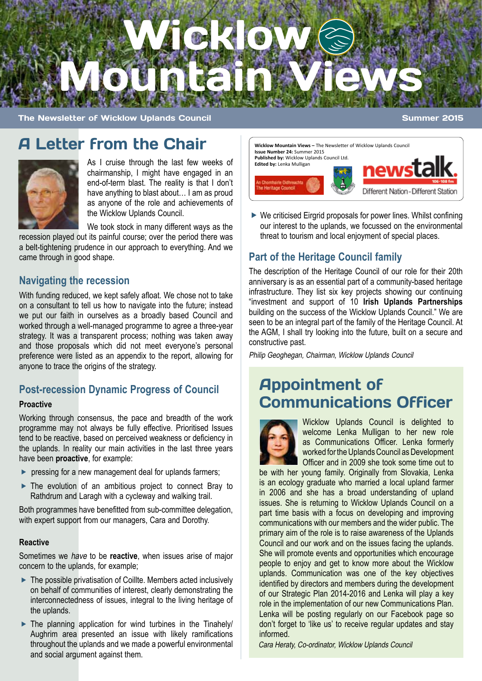

The Newsletter of Wicklow Uplands Council Summer 2015

#### A Letter from the Chair



As I cruise through the last few weeks of chairmanship, I might have engaged in an end-of-term blast. The reality is that I don't have anything to blast about… I am as proud as anyone of the role and achievements of the Wicklow Uplands Council.

We took stock in many different ways as the

recession played out its painful course; over the period there was a belt-tightening prudence in our approach to everything. And we came through in good shape.

#### **Navigating the recession**

With funding reduced, we kept safely afloat. We chose not to take on a consultant to tell us how to navigate into the future; instead we put our faith in ourselves as a broadly based Council and worked through a well-managed programme to agree a three-year strategy. It was a transparent process; nothing was taken away and those proposals which did not meet everyone's personal preference were listed as an appendix to the report, allowing for anyone to trace the origins of the strategy.

#### **Post-recession Dynamic Progress of Council**

#### **Proactive**

Working through consensus, the pace and breadth of the work programme may not always be fully effective. Prioritised Issues tend to be reactive, based on perceived weakness or deficiency in the uplands. In reality our main activities in the last three years have been **proactive**, for example:

- $\triangleright$  pressing for a new management deal for uplands farmers;
- ▶ The evolution of an ambitious project to connect Bray to Rathdrum and Laragh with a cycleway and walking trail.

Both programmes have benefitted from sub-committee delegation, with expert support from our managers, Cara and Dorothy.

#### **Reactive**

Sometimes we have to be **reactive**, when issues arise of major concern to the uplands, for example;

- ▶ The possible privatisation of Coillte. Members acted inclusively on behalf of communities of interest, clearly demonstrating the interconnectedness of issues, integral to the living heritage of the uplands.
- $\triangleright$  The planning application for wind turbines in the Tinahely/ Aughrim area presented an issue with likely ramifications throughout the uplands and we made a powerful environmental and social argument against them.

**Wicklow Mountain Views –** The Newsletter of Wicklow Uplands Council **Issue Number 24:** Summer 2015 **Published by:** Wicklow Uplands Council Ltd. **Edited by:** Lenka Mulligan



▶ We criticised Eirgrid proposals for power lines. Whilst confining our interest to the uplands, we focussed on the environmental threat to tourism and local enjoyment of special places.

#### **Part of the Heritage Council family**

The description of the Heritage Council of our role for their 20th anniversary is as an essential part of a community-based heritage infrastructure. They list six key projects showing our continuing "investment and support of 10 **Irish Uplands Partnerships** building on the success of the Wicklow Uplands Council." We are seen to be an integral part of the family of the Heritage Council. At the AGM, I shall try looking into the future, built on a secure and constructive past.

Philip Geoghegan, Chairman, Wicklow Uplands Council

# Appointment of Communications Officer



Wicklow Uplands Council is delighted to welcome Lenka Mulligan to her new role as Communications Officer. Lenka formerly worked for the Uplands Council as Development Officer and in 2009 she took some time out to

be with her young family. Originally from Slovakia, Lenka is an ecology graduate who married a local upland farmer in 2006 and she has a broad understanding of upland issues. She is returning to Wicklow Uplands Council on a part time basis with a focus on developing and improving communications with our members and the wider public. The primary aim of the role is to raise awareness of the Uplands Council and our work and on the issues facing the uplands. She will promote events and opportunities which encourage people to enjoy and get to know more about the Wicklow uplands. Communication was one of the key objectives identified by directors and members during the development of our Strategic Plan 2014-2016 and Lenka will play a key role in the implementation of our new Communications Plan. Lenka will be posting regularly on our Facebook page so don't forget to 'like us' to receive regular updates and stay informed.

Cara Heraty, Co-ordinator, Wicklow Uplands Council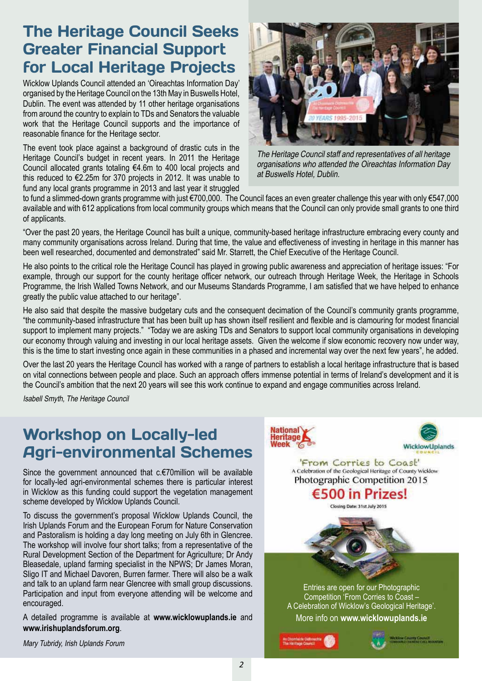### The Heritage Council Seeks Greater Financial Support for Local Heritage Projects

Wicklow Uplands Council attended an 'Oireachtas Information Day' organised by the Heritage Council on the 13th May in Buswells Hotel, Dublin. The event was attended by 11 other heritage organisations from around the country to explain to TDs and Senators the valuable work that the Heritage Council supports and the importance of reasonable finance for the Heritage sector.

The event took place against a background of drastic cuts in the Heritage Council's budget in recent years. In 2011 the Heritage Council allocated grants totaling €4.6m to 400 local projects and this reduced to €2.25m for 370 projects in 2012. It was unable to fund any local grants programme in 2013 and last year it struggled



The Heritage Council staff and representatives of all heritage organisations who attended the Oireachtas Information Day at Buswells Hotel, Dublin.

to fund a slimmed-down grants programme with just €700,000. The Council faces an even greater challenge this year with only €547,000 available and with 612 applications from local community groups which means that the Council can only provide small grants to one third of applicants.

"Over the past 20 years, the Heritage Council has built a unique, community-based heritage infrastructure embracing every county and many community organisations across Ireland. During that time, the value and effectiveness of investing in heritage in this manner has been well researched, documented and demonstrated" said Mr. Starrett, the Chief Executive of the Heritage Council.

He also points to the critical role the Heritage Council has played in growing public awareness and appreciation of heritage issues: "For example, through our support for the county heritage officer network, our outreach through Heritage Week, the Heritage in Schools Programme, the Irish Walled Towns Network, and our Museums Standards Programme, I am satisfied that we have helped to enhance greatly the public value attached to our heritage".

He also said that despite the massive budgetary cuts and the consequent decimation of the Council's community grants programme, "the community-based infrastructure that has been built up has shown itself resilient and flexible and is clamouring for modest financial support to implement many projects." "Today we are asking TDs and Senators to support local community organisations in developing our economy through valuing and investing in our local heritage assets. Given the welcome if slow economic recovery now under way, this is the time to start investing once again in these communities in a phased and incremental way over the next few years", he added.

Over the last 20 years the Heritage Council has worked with a range of partners to establish a local heritage infrastructure that is based on vital connections between people and place. Such an approach offers immense potential in terms of Ireland's development and it is the Council's ambition that the next 20 years will see this work continue to expand and engage communities across Ireland.

Isabell Smyth, The Heritage Council

### Workshop on Locally-led Agri-environmental Schemes

Since the government announced that c.€70million will be available for locally-led agri-environmental schemes there is particular interest in Wicklow as this funding could support the vegetation management scheme developed by Wicklow Uplands Council.

To discuss the government's proposal Wicklow Uplands Council, the Irish Uplands Forum and the European Forum for Nature Conservation and Pastoralism is holding a day long meeting on July 6th in Glencree. The workshop will involve four short talks; from a representative of the Rural Development Section of the Department for Agriculture; Dr Andy Bleasedale, upland farming specialist in the NPWS; Dr James Moran, Sligo IT and Michael Davoren, Burren farmer. There will also be a walk and talk to an upland farm near Glencree with small group discussions. Participation and input from everyone attending will be welcome and encouraged.

A detailed programme is available at **www.wicklowuplands.ie** and **www.irishuplandsforum.org**.

Mary Tubridy, Irish Uplands Forum

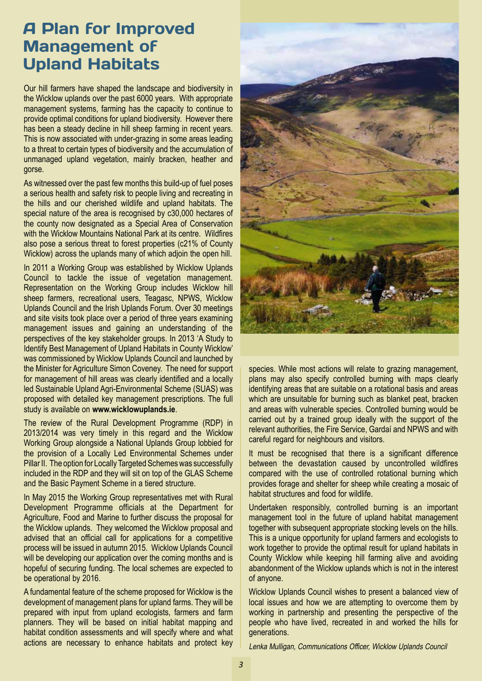### A Plan for Improved Management of Upland Habitats

Our hill farmers have shaped the landscape and biodiversity in the Wicklow uplands over the past 6000 years. With appropriate management systems, farming has the capacity to continue to provide optimal conditions for upland biodiversity. However there has been a steady decline in hill sheep farming in recent years. This is now associated with under-grazing in some areas leading to a threat to certain types of biodiversity and the accumulation of unmanaged upland vegetation, mainly bracken, heather and gorse.

As witnessed over the past few months this build-up of fuel poses a serious health and safety risk to people living and recreating in the hills and our cherished wildlife and upland habitats. The special nature of the area is recognised by c30,000 hectares of the county now designated as a Special Area of Conservation with the Wicklow Mountains National Park at its centre. Wildfires also pose a serious threat to forest properties (c21% of County Wicklow) across the uplands many of which adjoin the open hill.

In 2011 a Working Group was established by Wicklow Uplands Council to tackle the issue of vegetation management. Representation on the Working Group includes Wicklow hill sheep farmers, recreational users, Teagasc, NPWS, Wicklow Uplands Council and the Irish Uplands Forum. Over 30 meetings and site visits took place over a period of three years examining management issues and gaining an understanding of the perspectives of the key stakeholder groups. In 2013 'A Study to Identify Best Management of Upland Habitats in County Wicklow' was commissioned by Wicklow Uplands Council and launched by the Minister for Agriculture Simon Coveney. The need for support for management of hill areas was clearly identified and a locally led Sustainable Upland Agri-Environmental Scheme (SUAS) was proposed with detailed key management prescriptions. The full study is available on **www.wicklowuplands.ie**.

The review of the Rural Development Programme (RDP) in 2013/2014 was very timely in this regard and the Wicklow Working Group alongside a National Uplands Group lobbied for the provision of a Locally Led Environmental Schemes under Pillar II. The option for Locally Targeted Schemes was successfully included in the RDP and they will sit on top of the GLAS Scheme and the Basic Payment Scheme in a tiered structure.

In May 2015 the Working Group representatives met with Rural Development Programme officials at the Department for Agriculture, Food and Marine to further discuss the proposal for the Wicklow uplands. They welcomed the Wicklow proposal and advised that an official call for applications for a competitive process will be issued in autumn 2015. Wicklow Uplands Council will be developing our application over the coming months and is hopeful of securing funding. The local schemes are expected to be operational by 2016.

A fundamental feature of the scheme proposed for Wicklow is the development of management plans for upland farms. They will be prepared with input from upland ecologists, farmers and farm planners. They will be based on initial habitat mapping and habitat condition assessments and will specify where and what actions are necessary to enhance habitats and protect key



species. While most actions will relate to grazing management, plans may also specify controlled burning with maps clearly identifying areas that are suitable on a rotational basis and areas which are unsuitable for burning such as blanket peat, bracken and areas with vulnerable species. Controlled burning would be carried out by a trained group ideally with the support of the relevant authorities, the Fire Service, Gardaí and NPWS and with careful regard for neighbours and visitors.

It must be recognised that there is a significant difference between the devastation caused by uncontrolled wildfires compared with the use of controlled rotational burning which provides forage and shelter for sheep while creating a mosaic of habitat structures and food for wildlife.

Undertaken responsibly, controlled burning is an important management tool in the future of upland habitat management together with subsequent appropriate stocking levels on the hills. This is a unique opportunity for upland farmers and ecologists to work together to provide the optimal result for upland habitats in County Wicklow while keeping hill farming alive and avoiding abandonment of the Wicklow uplands which is not in the interest of anyone.

Wicklow Uplands Council wishes to present a balanced view of local issues and how we are attempting to overcome them by working in partnership and presenting the perspective of the people who have lived, recreated in and worked the hills for generations.

Lenka Mulligan, Communications Officer, Wicklow Uplands Council